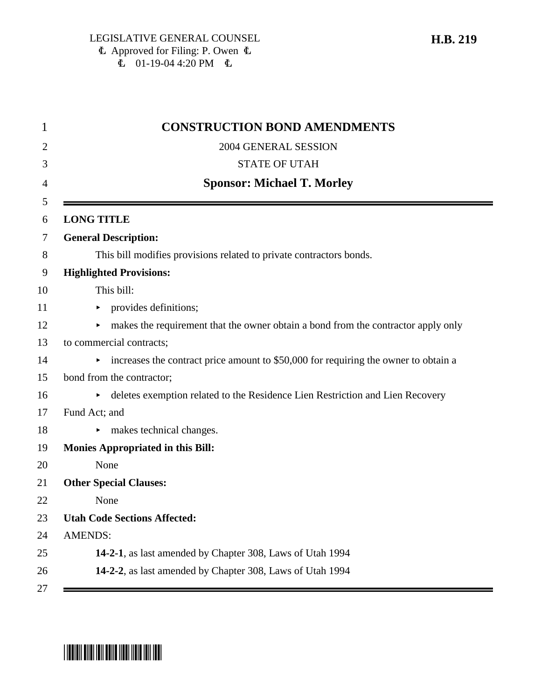| <b>CONSTRUCTION BOND AMENDMENTS</b>                                                                  |
|------------------------------------------------------------------------------------------------------|
| 2004 GENERAL SESSION                                                                                 |
| <b>STATE OF UTAH</b>                                                                                 |
| <b>Sponsor: Michael T. Morley</b>                                                                    |
| <b>LONG TITLE</b>                                                                                    |
| <b>General Description:</b>                                                                          |
| This bill modifies provisions related to private contractors bonds.                                  |
| <b>Highlighted Provisions:</b>                                                                       |
| This bill:                                                                                           |
| $\triangleright$ provides definitions;                                                               |
| makes the requirement that the owner obtain a bond from the contractor apply only<br>▶.              |
| to commercial contracts;                                                                             |
| $\triangleright$ increases the contract price amount to \$50,000 for requiring the owner to obtain a |
| bond from the contractor;                                                                            |
| • deletes exemption related to the Residence Lien Restriction and Lien Recovery                      |
| Fund Act; and                                                                                        |
| makes technical changes.                                                                             |
| <b>Monies Appropriated in this Bill:</b>                                                             |
| None                                                                                                 |
| <b>Other Special Clauses:</b>                                                                        |
| None                                                                                                 |
| <b>Utah Code Sections Affected:</b>                                                                  |
| <b>AMENDS:</b>                                                                                       |
| 14-2-1, as last amended by Chapter 308, Laws of Utah 1994                                            |
| 14-2-2, as last amended by Chapter 308, Laws of Utah 1994                                            |

# \*HB0219\*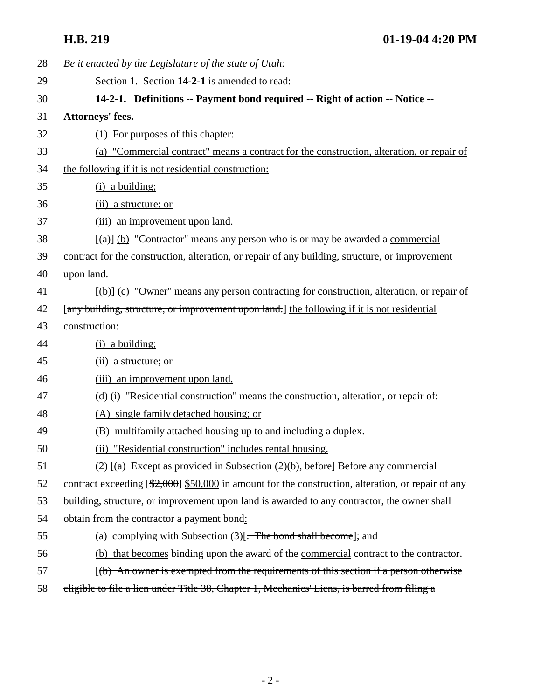| 28 | Be it enacted by the Legislature of the state of Utah:                                                          |
|----|-----------------------------------------------------------------------------------------------------------------|
| 29 | Section 1. Section 14-2-1 is amended to read:                                                                   |
| 30 | 14-2-1. Definitions -- Payment bond required -- Right of action -- Notice --                                    |
| 31 | Attorneys' fees.                                                                                                |
| 32 | (1) For purposes of this chapter:                                                                               |
| 33 | (a) "Commercial contract" means a contract for the construction, alteration, or repair of                       |
| 34 | the following if it is not residential construction:                                                            |
| 35 | $(i)$ a building;                                                                                               |
| 36 | (ii) a structure; or                                                                                            |
| 37 | (iii) an improvement upon land.                                                                                 |
| 38 | $[\text{A}]$ (b) "Contractor" means any person who is or may be awarded a commercial                            |
| 39 | contract for the construction, alteration, or repair of any building, structure, or improvement                 |
| 40 | upon land.                                                                                                      |
| 41 | $[\langle \theta \rangle]$ (c) "Owner" means any person contracting for construction, alteration, or repair of  |
| 42 | [any building, structure, or improvement upon land.] the following if it is not residential                     |
| 43 | construction:                                                                                                   |
|    |                                                                                                                 |
| 44 | $(i)$ a building;                                                                                               |
| 45 | (ii) a structure; or                                                                                            |
| 46 | (iii) an improvement upon land.                                                                                 |
| 47 | (d) (i) "Residential construction" means the construction, alteration, or repair of:                            |
| 48 | (A) single family detached housing; or                                                                          |
| 49 | (B) multifamily attached housing up to and including a duplex.                                                  |
| 50 | (ii) "Residential construction" includes rental housing.                                                        |
| 51 | (2) $[(a)$ Except as provided in Subsection $(2)(b)$ , before] Before any commercial                            |
| 52 | contract exceeding $[\frac{2,000}{2,000}]$ s50,000 in amount for the construction, alteration, or repair of any |
| 53 | building, structure, or improvement upon land is awarded to any contractor, the owner shall                     |
| 54 | obtain from the contractor a payment bond:                                                                      |
| 55 | (a) complying with Subsection $(3)$ . The bond shall become]; and                                               |
| 56 | (b) that becomes binding upon the award of the commercial contract to the contractor.                           |
| 57 | $(6)$ An owner is exempted from the requirements of this section if a person otherwise                          |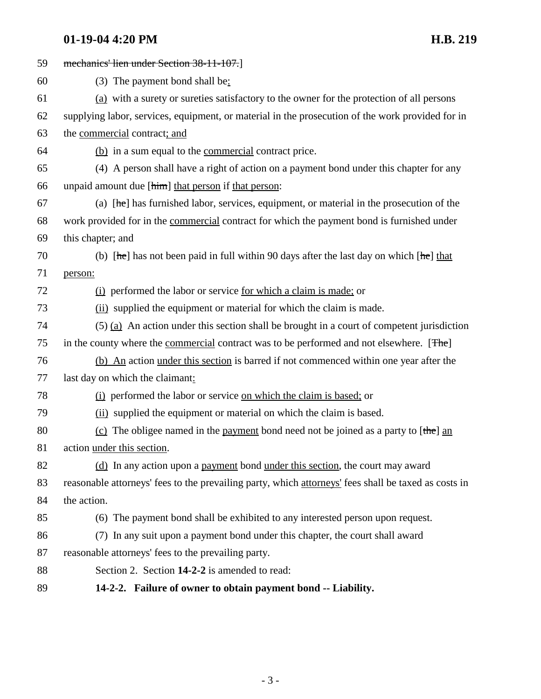## **01-19-04 4:20 PM H.B. 219**

| 59 | mechanics' lien under Section 38-11-107.                                                                  |
|----|-----------------------------------------------------------------------------------------------------------|
| 60 | $(3)$ The payment bond shall be:                                                                          |
| 61 | (a) with a surety or sureties satisfactory to the owner for the protection of all persons                 |
| 62 | supplying labor, services, equipment, or material in the prosecution of the work provided for in          |
| 63 | the commercial contract; and                                                                              |
| 64 | (b) in a sum equal to the <u>commercial</u> contract price.                                               |
| 65 | (4) A person shall have a right of action on a payment bond under this chapter for any                    |
| 66 | unpaid amount due [him] that person if that person:                                                       |
| 67 | (a) $[\text{he}]$ has furnished labor, services, equipment, or material in the prosecution of the         |
| 68 | work provided for in the commercial contract for which the payment bond is furnished under                |
| 69 | this chapter; and                                                                                         |
| 70 | (b) $[\text{he}]$ has not been paid in full within 90 days after the last day on which $[\text{he}]$ that |
| 71 | person:                                                                                                   |
| 72 | (i) performed the labor or service <u>for which a claim is made</u> ; or                                  |
| 73 | (ii) supplied the equipment or material for which the claim is made.                                      |
| 74 | $(5)$ (a) An action under this section shall be brought in a court of competent jurisdiction              |
| 75 | in the county where the commercial contract was to be performed and not elsewhere. [The]                  |
| 76 | (b) An action under this section is barred if not commenced within one year after the                     |
| 77 | last day on which the claimant:                                                                           |
| 78 | (i) performed the labor or service on which the claim is based; or                                        |
| 79 | (ii) supplied the equipment or material on which the claim is based.                                      |
| 80 | (c) The obligee named in the payment bond need not be joined as a party to $[\theta]$ and                 |
| 81 | action under this section.                                                                                |
| 82 | (d) In any action upon a payment bond under this section, the court may award                             |
| 83 | reasonable attorneys' fees to the prevailing party, which attorneys' fees shall be taxed as costs in      |
| 84 | the action.                                                                                               |
| 85 | (6) The payment bond shall be exhibited to any interested person upon request.                            |
| 86 | (7) In any suit upon a payment bond under this chapter, the court shall award                             |
| 87 | reasonable attorneys' fees to the prevailing party.                                                       |
| 88 | Section 2. Section 14-2-2 is amended to read:                                                             |
| 89 | 14-2-2. Failure of owner to obtain payment bond -- Liability.                                             |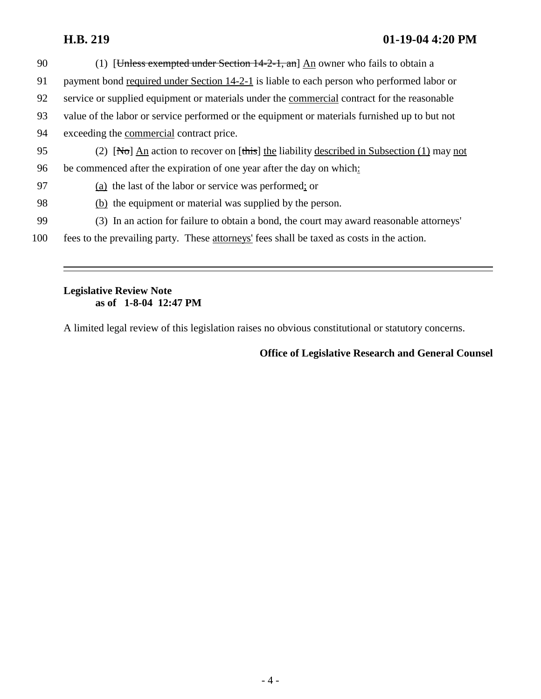### **H.B. 219 01-19-04 4:20 PM**

| 90  | (1) [Unless exempted under Section $14-2-1$ , an] An owner who fails to obtain a                  |
|-----|---------------------------------------------------------------------------------------------------|
| 91  | payment bond required under Section 14-2-1 is liable to each person who performed labor or        |
| 92  | service or supplied equipment or materials under the commercial contract for the reasonable       |
| 93  | value of the labor or service performed or the equipment or materials furnished up to but not     |
| 94  | exceeding the commercial contract price.                                                          |
| 95  | (2) [No] $\Delta n$ action to recover on [this] the liability described in Subsection (1) may not |
| 96  | be commenced after the expiration of one year after the day on which:                             |
| 97  | (a) the last of the labor or service was performed; or                                            |
| 98  | (b) the equipment or material was supplied by the person.                                         |
| 99  | (3) In an action for failure to obtain a bond, the court may award reasonable attorneys'          |
| 100 | fees to the prevailing party. These attorneys' fees shall be taxed as costs in the action.        |

#### **Legislative Review Note as of 1-8-04 12:47 PM**

A limited legal review of this legislation raises no obvious constitutional or statutory concerns.

#### **Office of Legislative Research and General Counsel**